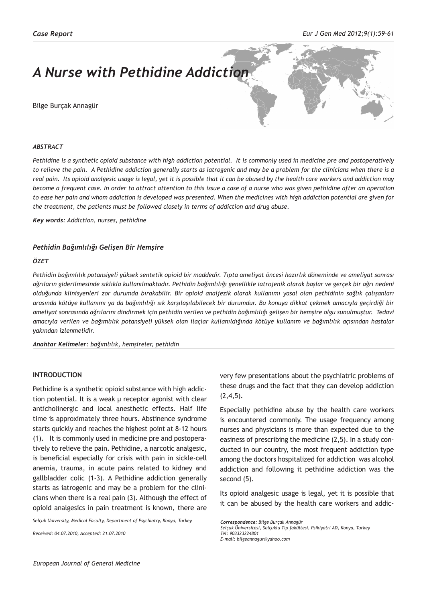# *A Nurse with Pethidine Addiction*

Bilge Burçak Annagür



#### *ABSTRACT*

*Pethidine is a synthetic opioid substance with high addiction potential. It is commonly used in medicine pre and postoperatively to relieve the pain. A Pethidine addiction generally starts as iatrogenic and may be a problem for the clinicians when there is a real pain. Its opioid analgesic usage is legal, yet it is possible that it can be abused by the health care workers and addiction may become a frequent case. In order to attract attention to this issue a case of a nurse who was given pethidine after an operation to ease her pain and whom addiction is developed was presented. When the medicines with high addiction potential are given for the treatment, the patients must be followed closely in terms of addiction and drug abuse.*

*Key words: Addiction, nurses, pethidine*

#### *Pethidin Bağımlılığı Gelişen Bir Hemşire*

#### *ÖZET*

*Pethidin bağımlılık potansiyeli yüksek sentetik opioid bir maddedir. Tıpta ameliyat öncesi hazırlık döneminde ve ameliyat sonrası ağrıların giderilmesinde sıklıkla kullanılmaktadır. Pethidin bağımlılığı genellikle iatrojenik olarak başlar ve gerçek bir ağrı nedeni olduğunda klinisyenleri zor durumda bırakabilir. Bir opioid analjezik olarak kullanımı yasal olan pethidinin sağlık çalışanları arasında kötüye kullanımı ya da bağımlılığı sık karşılaşılabilecek bir durumdur. Bu konuya dikkat çekmek amacıyla geçirdiği bir ameliyat sonrasında ağrılarını dindirmek için pethidin verilen ve pethidin bağımlılığı gelişen bir hemşire olgu sunulmuştur. Tedavi amacıyla verilen ve bağımlılık potansiyeli yüksek olan ilaçlar kullanıldığında kötüye kullanım ve bağımlılık açısından hastalar yakından izlenmelidir.*

*Anahtar Kelimeler: bağımlılık, hemşireler, pethidin*

## **INTRODUCTION**

Pethidine is a synthetic opioid substance with high addiction potential. It is a weak  $\mu$  receptor agonist with clear anticholinergic and local anesthetic effects. Half life time is approximately three hours. Abstinence syndrome starts quickly and reaches the highest point at 8-12 hours (1). It is commonly used in medicine pre and postoperatively to relieve the pain. Pethidine, a narcotic analgesic, is beneficial especially for crisis with pain in sickle-cell anemia, trauma, in acute pains related to kidney and gallbladder colic (1-3). A Pethidine addiction generally starts as iatrogenic and may be a problem for the clinicians when there is a real pain (3). Although the effect of opioid analgesics in pain treatment is known, there are

*Selçuk University, Medical Faculty, Department of Psychiatry, Konya, Turkey*

*Received: 04.07.2010, Accepted: 21.07.2010*

very few presentations about the psychiatric problems of these drugs and the fact that they can develop addiction  $(2,4,5)$ .

Especially pethidine abuse by the health care workers is encountered commonly. The usage frequency among nurses and physicians is more than expected due to the easiness of prescribing the medicine (2,5). In a study conducted in our country, the most frequent addiction type among the doctors hospitalized for addiction was alcohol addiction and following it pethidine addiction was the second (5).

Its opioid analgesic usage is legal, yet it is possible that it can be abused by the health care workers and addic-

*Correspondence: Bilge Burçak Annagür*

*Selçuk Üniversitesi, Selçuklu Tıp fakültesi, Psikiyatri AD, Konya, Turkey Tel: 903323224801 E-mail: bilgeannagur@yahoo.com*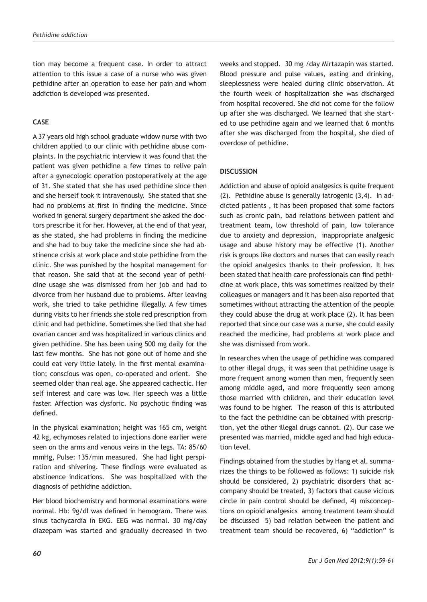tion may become a frequent case. In order to attract attention to this issue a case of a nurse who was given pethidine after an operation to ease her pain and whom addiction is developed was presented.

## **CASE**

A 37 years old high school graduate widow nurse with two children applied to our clinic with pethidine abuse complaints. In the psychiatric interview it was found that the patient was given pethidine a few times to relive pain after a gynecologic operation postoperatively at the age of 31. She stated that she has used pethidine since then and she herself took it intravenously. She stated that she had no problems at first in finding the medicine. Since worked in general surgery department she asked the doctors prescribe it for her. However, at the end of that year, as she stated, she had problems in finding the medicine and she had to buy take the medicine since she had abstinence crisis at work place and stole pethidine from the clinic. She was punished by the hospital management for that reason. She said that at the second year of pethidine usage she was dismissed from her job and had to divorce from her husband due to problems. After leaving work, she tried to take pethidine illegally. A few times during visits to her friends she stole red prescription from clinic and had pethidine. Sometimes she lied that she had ovarian cancer and was hospitalized in various clinics and given pethidine. She has been using 500 mg daily for the last few months. She has not gone out of home and she could eat very little lately. In the first mental examination; conscious was open, co-operated and orient. She seemed older than real age. She appeared cachectic. Her self interest and care was low. Her speech was a little faster. Affection was dysforic. No psychotic finding was defined.

In the physical examination; height was 165 cm, weight 42 kg, echymoses related to injections done earlier were seen on the arms and venous veins in the legs. TA: 85/60 mmHg, Pulse: 135/min measured. She had light perspiration and shivering. These findings were evaluated as abstinence indications. She was hospitalized with the diagnosis of pethidine addiction.

Her blood biochemistry and hormonal examinations were normal. Hb: 9g/dl was defined in hemogram. There was sinus tachycardia in EKG. EEG was normal. 30 mg/day diazepam was started and gradually decreased in two

weeks and stopped. 30 mg /day Mirtazapin was started. Blood pressure and pulse values, eating and drinking, sleeplessness were healed during clinic observation. At the fourth week of hospitalization she was discharged from hospital recovered. She did not come for the follow up after she was discharged. We learned that she started to use pethidine again and we learned that 6 months after she was discharged from the hospital, she died of overdose of pethidine.

## **DISCUSSION**

Addiction and abuse of opioid analgesics is quite frequent (2). Pethidine abuse is generally iatrogenic (3,4). In addicted patients , it has been proposed that some factors such as cronic pain, bad relations between patient and treatment team, low threshold of pain, low tolerance due to anxiety and depression, inappropriate analgesic usage and abuse history may be effective (1). Another risk is groups like doctors and nurses that can easily reach the opioid analgesics thanks to their profession. It has been stated that health care professionals can find pethidine at work place, this was sometimes realized by their colleagues or managers and it has been also reported that sometimes without attracting the attention of the people they could abuse the drug at work place (2). It has been reported that since our case was a nurse, she could easily reached the medicine, had problems at work place and she was dismissed from work.

In researches when the usage of pethidine was compared to other illegal drugs, it was seen that pethidine usage is more frequent among women than men, frequently seen among middle aged, and more frequently seen among those married with children, and their education level was found to be higher. The reason of this is attributed to the fact the pethidine can be obtained with prescription, yet the other illegal drugs cannot. (2). Our case we presented was married, middle aged and had high education level.

Findings obtained from the studies by Hang et al. summarizes the things to be followed as follows: 1) suicide risk should be considered, 2) psychiatric disorders that accompany should be treated, 3) factors that cause vicious circle in pain control should be defined, 4) misconceptions on opioid analgesics among treatment team should be discussed 5) bad relation between the patient and treatment team should be recovered, 6) "addiction" is